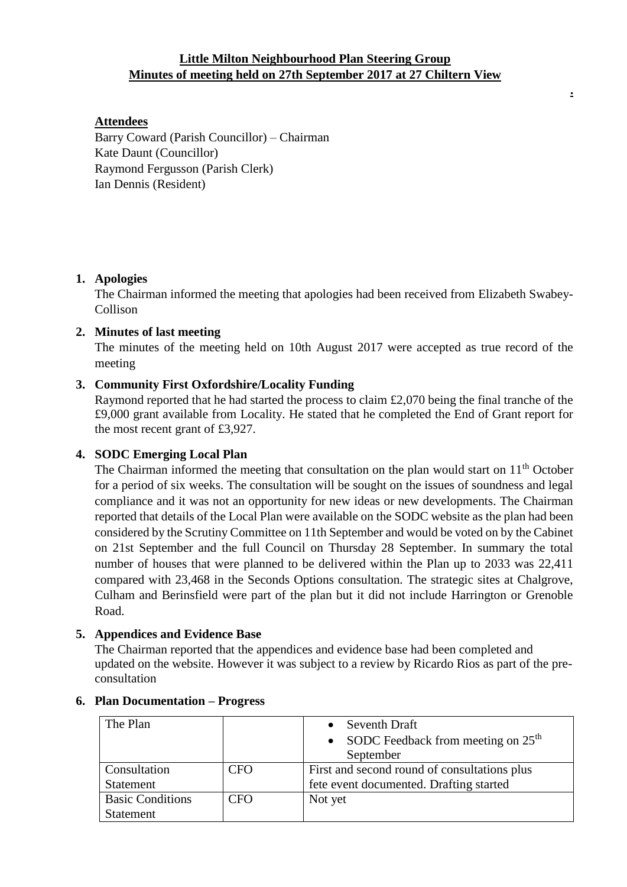# **Little Milton Neighbourhood Plan Steering Group Minutes of meeting held on 27th September 2017 at 27 Chiltern View**

**.**

## **Attendees**

Barry Coward (Parish Councillor) – Chairman Kate Daunt (Councillor) Raymond Fergusson (Parish Clerk) Ian Dennis (Resident)

## **1. Apologies**

The Chairman informed the meeting that apologies had been received from Elizabeth Swabey-Collison

## **2. Minutes of last meeting**

The minutes of the meeting held on 10th August 2017 were accepted as true record of the meeting

## **3. Community First Oxfordshire/Locality Funding**

Raymond reported that he had started the process to claim £2,070 being the final tranche of the £9,000 grant available from Locality. He stated that he completed the End of Grant report for the most recent grant of £3,927.

## **4. SODC Emerging Local Plan**

The Chairman informed the meeting that consultation on the plan would start on  $11<sup>th</sup>$  October for a period of six weeks. The consultation will be sought on the issues of soundness and legal compliance and it was not an opportunity for new ideas or new developments. The Chairman reported that details of the Local Plan were available on the SODC website as the plan had been considered by the Scrutiny Committee on 11th September and would be voted on by the Cabinet on 21st September and the full Council on Thursday 28 September. In summary the total number of houses that were planned to be delivered within the Plan up to 2033 was 22,411 compared with 23,468 in the Seconds Options consultation. The strategic sites at Chalgrove, Culham and Berinsfield were part of the plan but it did not include Harrington or Grenoble Road.

### **5. Appendices and Evidence Base**

The Chairman reported that the appendices and evidence base had been completed and updated on the website. However it was subject to a review by Ricardo Rios as part of the preconsultation

| The Plan                |     | Seventh Draft                                |
|-------------------------|-----|----------------------------------------------|
|                         |     | • SODC Feedback from meeting on $25th$       |
|                         |     | September                                    |
| Consultation            | CFO | First and second round of consultations plus |
| <b>Statement</b>        |     | fete event documented. Drafting started      |
| <b>Basic Conditions</b> | CFO | Not yet                                      |
| Statement               |     |                                              |

## **6. Plan Documentation – Progress**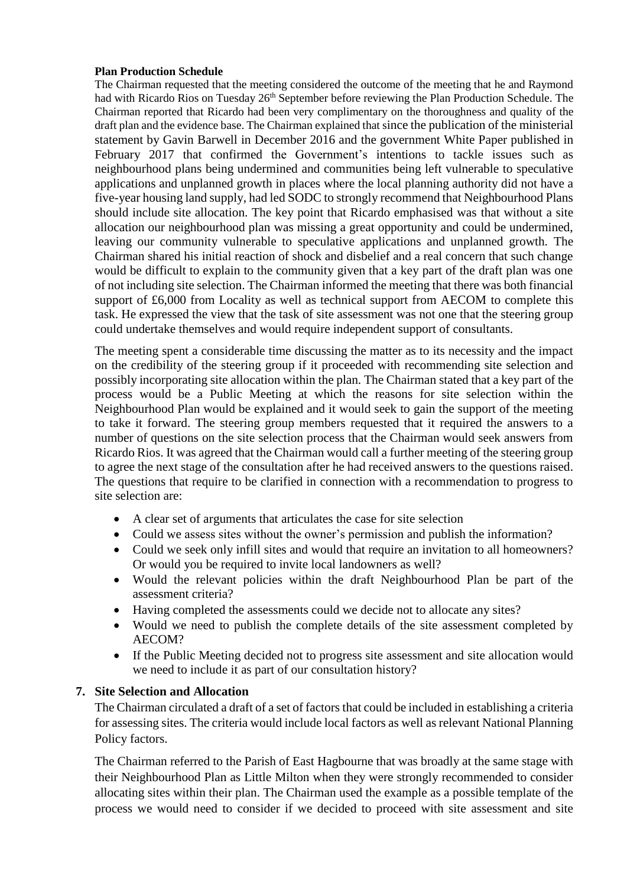#### **Plan Production Schedule**

The Chairman requested that the meeting considered the outcome of the meeting that he and Raymond had with Ricardo Rios on Tuesday 26<sup>th</sup> September before reviewing the Plan Production Schedule. The Chairman reported that Ricardo had been very complimentary on the thoroughness and quality of the draft plan and the evidence base. The Chairman explained that since the publication of the ministerial statement by Gavin Barwell in December 2016 and the government White Paper published in February 2017 that confirmed the Government's intentions to tackle issues such as neighbourhood plans being undermined and communities being left vulnerable to speculative applications and unplanned growth in places where the local planning authority did not have a five-year housing land supply, had led SODC to strongly recommend that Neighbourhood Plans should include site allocation. The key point that Ricardo emphasised was that without a site allocation our neighbourhood plan was missing a great opportunity and could be undermined, leaving our community vulnerable to speculative applications and unplanned growth. The Chairman shared his initial reaction of shock and disbelief and a real concern that such change would be difficult to explain to the community given that a key part of the draft plan was one of not including site selection. The Chairman informed the meeting that there was both financial support of £6,000 from Locality as well as technical support from AECOM to complete this task. He expressed the view that the task of site assessment was not one that the steering group could undertake themselves and would require independent support of consultants.

The meeting spent a considerable time discussing the matter as to its necessity and the impact on the credibility of the steering group if it proceeded with recommending site selection and possibly incorporating site allocation within the plan. The Chairman stated that a key part of the process would be a Public Meeting at which the reasons for site selection within the Neighbourhood Plan would be explained and it would seek to gain the support of the meeting to take it forward. The steering group members requested that it required the answers to a number of questions on the site selection process that the Chairman would seek answers from Ricardo Rios. It was agreed that the Chairman would call a further meeting of the steering group to agree the next stage of the consultation after he had received answers to the questions raised. The questions that require to be clarified in connection with a recommendation to progress to site selection are:

- A clear set of arguments that articulates the case for site selection
- Could we assess sites without the owner's permission and publish the information?
- Could we seek only infill sites and would that require an invitation to all homeowners? Or would you be required to invite local landowners as well?
- Would the relevant policies within the draft Neighbourhood Plan be part of the assessment criteria?
- Having completed the assessments could we decide not to allocate any sites?
- Would we need to publish the complete details of the site assessment completed by AECOM?
- If the Public Meeting decided not to progress site assessment and site allocation would we need to include it as part of our consultation history?

### **7. Site Selection and Allocation**

The Chairman circulated a draft of a set of factors that could be included in establishing a criteria for assessing sites. The criteria would include local factors as well as relevant National Planning Policy factors.

The Chairman referred to the Parish of East Hagbourne that was broadly at the same stage with their Neighbourhood Plan as Little Milton when they were strongly recommended to consider allocating sites within their plan. The Chairman used the example as a possible template of the process we would need to consider if we decided to proceed with site assessment and site